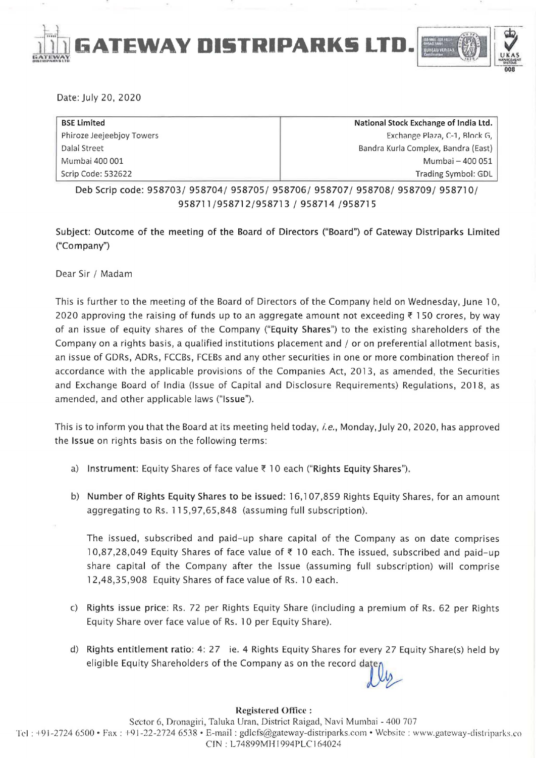

Date: July 20, 2020

| <b>BSE Limited</b>        | National Stock Exchange of India Ltd. |
|---------------------------|---------------------------------------|
| Phiroze Jeejeebjoy Towers | Exchange Plaza, C-1, Block G,         |
| Dalal Street              | Bandra Kurla Complex, Bandra (East)   |
| Mumbai 400 001            | Mumbai - 400 051                      |
| Scrip Code: 532622        | Trading Symbol: GDL                   |

Deb Scrip code: 958703/ 958704/ 958705/ 958706/ 958707/ 958708/ 958709/ 958710/ 958711/958712/958713 / 958714 /958715

Subject: Outcome of the meeting of the Board of Directors ("Board") of Gateway Distriparks Limited ("Company")

Dear Sir / Madam

This is further to the meeting of the Board of Directors of the Company held on Wednesday, June 10, 2020 approving the raising of funds up to an aggregate amount not exceeding  $\bar{\tau}$  150 crores, by way of an issue of equity shares of the Company ("Equity Shares") to the existing shareholders of the Company on a rights basis, a qualified institutions placement and / or on preferential allotment basis, an issue of GDRs, ADRs, FCCBs, FCEBs and any other securities in one or more combination thereof in accordance with the applicable provisions of the Companies Act, 2013, as amended, the Securities and Exchange Board of India (Issue of Capital and Disclosure Requirements) Regulations, 2018, as amended, and other applicable laws ("Issue").

This is to inform you that the Board at its meeting held today, *i.e.,* Monday,July 20,2020, has approved the Issue on rights basis on the following terms:

- a) Instrument: Equity Shares of face value  $\bar{\tau}$  10 each ("Rights Equity Shares").
- b) Number of Rights Equity Shares to be issued: 16,107,859 Rights Equity Shares, for an amount aggregating to Rs. 115,97,65,848 (assuming full subscription).

The issued, subscribed and paid-up share capital of the Company as on date comprises 10,87,28,049 Equity Shares of face value of  $\bar{\tau}$  10 each. The issued, subscribed and paid-up share capital of the Company after the Issue (assuming full subscription) will comprise 12,48,35,908 Equity Shares of face value of Rs. 10 each.

- c) Rights issue price: Rs. 72 per Rights Equity Share (including a premium of Rs. 62 per Rights Equity Share over face value of Rs. 10 per Equity Share).
- d) Rights entitlement ratio: 4: 27 ie. 4 Rights Equity Shares for every 27 Equity Share(s) held by Rights entitlement ratio: 4: 27 ie. 4 Rights Equity Shares for every 27 Equity Sh<br>eligible Equity Shareholders of the Company as on the record date

## Registered Ofticc :

Sector 6, Dronagiri, Taluka Uran, District Raigad, Navi Mumbai - 400 707 Tel :  $+91-2724\,6500$  • Fax :  $+91-22-2724\,6538$  • E-mail : gdlcfs@gateway-distriparks.com • Website : www.gateway-distriparks.co C IN : L74899MH 1994PLC I 64024